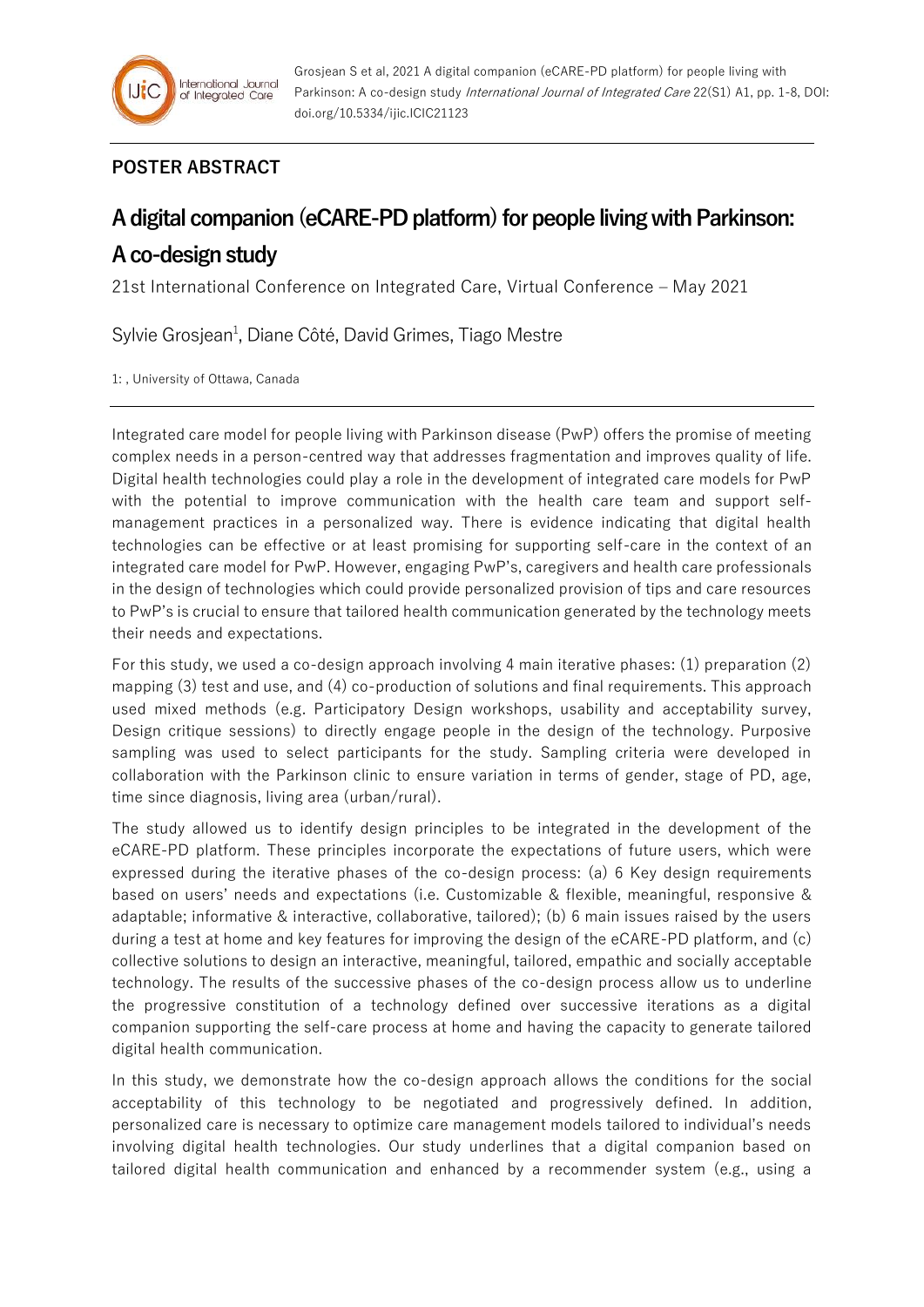## **POSTER ABSTRACT**

## **A digital companion (eCARE-PD platform) for people living with Parkinson: A co-design study**

21st International Conference on Integrated Care, Virtual Conference – May 2021

Sylvie Grosjean<sup>1</sup>, Diane Côté, David Grimes, Tiago Mestre

1: , University of Ottawa, Canada

Integrated care model for people living with Parkinson disease (PwP) offers the promise of meeting complex needs in a person-centred way that addresses fragmentation and improves quality of life. Digital health technologies could play a role in the development of integrated care models for PwP with the potential to improve communication with the health care team and support selfmanagement practices in a personalized way. There is evidence indicating that digital health technologies can be effective or at least promising for supporting self-care in the context of an integrated care model for PwP. However, engaging PwP's, caregivers and health care professionals in the design of technologies which could provide personalized provision of tips and care resources to PwP's is crucial to ensure that tailored health communication generated by the technology meets their needs and expectations.

For this study, we used a co-design approach involving 4 main iterative phases: (1) preparation (2) mapping (3) test and use, and (4) co-production of solutions and final requirements. This approach used mixed methods (e.g. Participatory Design workshops, usability and acceptability survey, Design critique sessions) to directly engage people in the design of the technology. Purposive sampling was used to select participants for the study. Sampling criteria were developed in collaboration with the Parkinson clinic to ensure variation in terms of gender, stage of PD, age, time since diagnosis, living area (urban/rural).

The study allowed us to identify design principles to be integrated in the development of the eCARE-PD platform. These principles incorporate the expectations of future users, which were expressed during the iterative phases of the co-design process: (a) 6 Key design requirements based on users' needs and expectations (i.e. Customizable & flexible, meaningful, responsive & adaptable; informative & interactive, collaborative, tailored); (b) 6 main issues raised by the users during a test at home and key features for improving the design of the eCARE-PD platform, and (c) collective solutions to design an interactive, meaningful, tailored, empathic and socially acceptable technology. The results of the successive phases of the co-design process allow us to underline the progressive constitution of a technology defined over successive iterations as a digital companion supporting the self-care process at home and having the capacity to generate tailored digital health communication.

In this study, we demonstrate how the co-design approach allows the conditions for the social acceptability of this technology to be negotiated and progressively defined. In addition, personalized care is necessary to optimize care management models tailored to individual's needs involving digital health technologies. Our study underlines that a digital companion based on tailored digital health communication and enhanced by a recommender system (e.g., using a